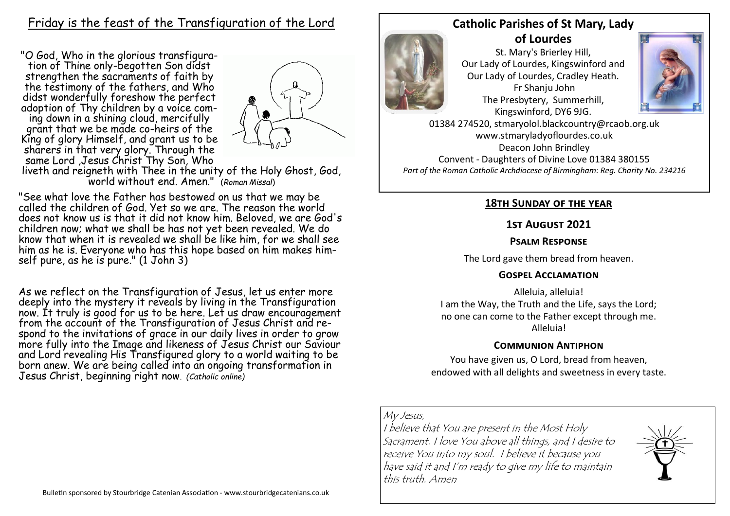# Friday is the feast of the Transfiguration of the Lord

"O God, Who in the glorious transfiguration of Thine only-begotten Son didst strengthen the sacraments of faith by the testimony of the fathers, and Who didst wonderfully foreshow the perfect adoption of Thy children by a voice coming down in a shining cloud, mercifully grant that we be made co-heirs of the King of glory Himself, and grant us to be sharers in that very glory. Through the same Lord ,Jesus Christ Thy Son, Who



liveth and reigneth with Thee in the unity of the Holy Ghost, God, world without end. Amen." (*Roman Missal*)

"See what love the Father has bestowed on us that we may be called the children of God. Yet so we are. The reason the world does not know us is that it did not know him. Beloved, we are God's children now; what we shall be has not yet been revealed. We do know that when it is revealed we shall be like him, for we shall see him as he is. Everyone who has this hope based on him makes himself pure, as he is pure." (1 John 3)

As we reflect on the Transfiguration of Jesus, let us enter more deeply into the mystery it reveals by living in the Transfiguration now. It truly is good for us to be here. Let us draw encouragement from the account of the Transfiguration of Jesus Christ and respond to the invitations of grace in our daily lives in order to grow more fully into the Image and likeness of Jesus Christ our Saviour and Lord revealing His Transfigured glory to a world waiting to be born anew. We are being called into an ongoing transformation in Jesus Christ, beginning right now*. (Catholic online)*

# **Catholic Parishes of St Mary, Lady of Lourdes**



St. Mary's Brierley Hill, Our Lady of Lourdes, Kingswinford and Our Lady of Lourdes, Cradley Heath. Fr Shanju John The Presbytery, Summerhill, Kingswinford, DY6 9JG.



01384 274520, stmaryolol.blackcountry@rcaob.org.uk www.stmaryladyoflourdes.co.uk Deacon John Brindley Convent - Daughters of Divine Love 01384 380155 *Part of the Roman Catholic Archdiocese of Birmingham: Reg. Charity No. 234216*

### **18th Sunday of the year**

### **1st August 2021**

#### **Psalm Response**

The Lord gave them bread from heaven.

#### **Gospel Acclamation**

Alleluia, alleluia! I am the Way, the Truth and the Life, says the Lord; no one can come to the Father except through me. Alleluia!

#### **Communion Antiphon**

You have given us, O Lord, bread from heaven, endowed with all delights and sweetness in every taste.

# My Jesus,

I believe that You are present in the Most Holy Sacrament. I love You above all things, and I desire to receive You into my soul. I believe it because you have said it and I'm ready to give my life to maintain this truth. Amen